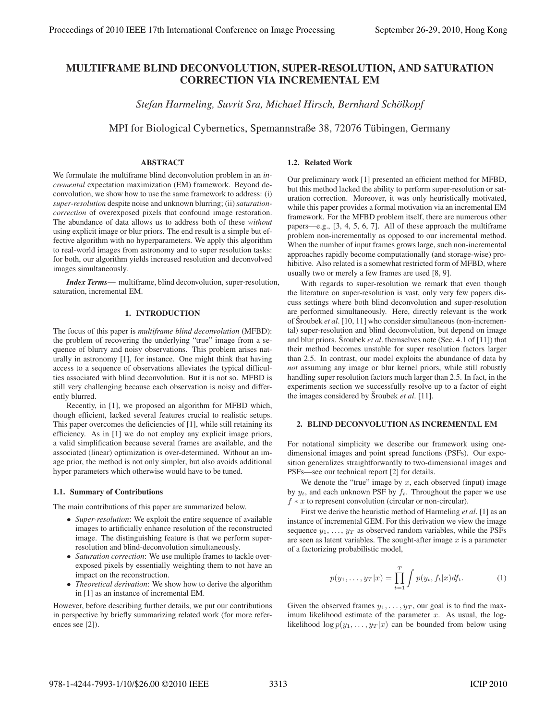# MULTIFRAME BLIND DECONVOLUTION, SUPER-RESOLUTION, AND SATURATION CORRECTION VIA INCREMENTAL EM

*Stefan Harmeling, Suvrit Sra, Michael Hirsch, Bernhard Scholkopf ¨*

MPI for Biological Cybernetics, Spemannstraße 38, 72076 Tübingen, Germany

## ABSTRACT

We formulate the multiframe blind deconvolution problem in an *incremental* expectation maximization (EM) framework. Beyond deconvolution, we show how to use the same framework to address: (i) *super-resolution* despite noise and unknown blurring; (ii) *saturationcorrection* of overexposed pixels that confound image restoration. The abundance of data allows us to address both of these *without* using explicit image or blur priors. The end result is a simple but effective algorithm with no hyperparameters. We apply this algorithm to real-world images from astronomy and to super resolution tasks: for both, our algorithm yields increased resolution and deconvolved images simultaneously.

*Index Terms*— multiframe, blind deconvolution, super-resolution, saturation, incremental EM.

## 1. INTRODUCTION

The focus of this paper is *multiframe blind deconvolution* (MFBD): the problem of recovering the underlying "true" image from a sequence of blurry and noisy observations. This problem arises naturally in astronomy [1], for instance. One might think that having access to a sequence of observations alleviates the typical difficulties associated with blind deconvolution. But it is not so. MFBD is still very challenging because each observation is noisy and differently blurred.

Recently, in [1], we proposed an algorithm for MFBD which, though efficient, lacked several features crucial to realistic setups. This paper overcomes the deficiencies of [1], while still retaining its efficiency. As in [1] we do not employ any explicit image priors, a valid simplification because several frames are available, and the associated (linear) optimization is over-determined. Without an image prior, the method is not only simpler, but also avoids additional hyper parameters which otherwise would have to be tuned.

## 1.1. Summary of Contributions

The main contributions of this paper are summarized below.

- *Super-resolution*: We exploit the entire sequence of available images to artificially enhance resolution of the reconstructed image. The distinguishing feature is that we perform superresolution and blind-deconvolution simultaneously.
- *Saturation correction*: We use multiple frames to tackle overexposed pixels by essentially weighting them to not have an impact on the reconstruction.
- *Theoretical derivation*: We show how to derive the algorithm in [1] as an instance of incremental EM.

However, before describing further details, we put our contributions in perspective by briefly summarizing related work (for more references see [2]).

## 1.2. Related Work

Our preliminary work [1] presented an efficient method for MFBD, but this method lacked the ability to perform super-resolution or saturation correction. Moreover, it was only heuristically motivated, while this paper provides a formal motivation via an incremental EM framework. For the MFBD problem itself, there are numerous other papers—e.g., [3, 4, 5, 6, 7]. All of these approach the multiframe problem non-incrementally as opposed to our incremental method. When the number of input frames grows large, such non-incremental approaches rapidly become computationally (and storage-wise) prohibitive. Also related is a somewhat restricted form of MFBD, where usually two or merely a few frames are used [8, 9].

With regards to super-resolution we remark that even though the literature on super-resolution is vast, only very few papers discuss settings where both blind deconvolution and super-resolution are performed simultaneously. Here, directly relevant is the work of Sroubek *et al.* [10, 11] who consider simultaneous (non-incremental) super-resolution and blind deconvolution, but depend on image and blur priors. Šroubek *et al*. themselves note (Sec. 4.1 of [11]) that their method becomes unstable for super resolution factors larger than 2.5. In contrast, our model exploits the abundance of data by *not* assuming any image or blur kernel priors, while still robustly handling super resolution factors much larger than 2.5. In fact, in the experiments section we successfully resolve up to a factor of eight the images considered by Sroubek *et al.* [11].

## 2. BLIND DECONVOLUTION AS INCREMENTAL EM

For notational simplicity we describe our framework using onedimensional images and point spread functions (PSFs). Our exposition generalizes straightforwardly to two-dimensional images and PSFs—see our technical report [2] for details.

We denote the "true" image by  $x$ , each observed (input) image by  $y_t$ , and each unknown PSF by  $f_t$ . Throughout the paper we use  $f * x$  to represent convolution (circular or non-circular).

First we derive the heuristic method of Harmeling *et al*. [1] as an instance of incremental GEM. For this derivation we view the image sequence  $y_1, \ldots, y_T$  as observed random variables, while the PSFs are seen as latent variables. The sought-after image  $x$  is a parameter of a factorizing probabilistic model,

$$
p(y_1, ..., y_T|x) = \prod_{t=1}^T \int p(y_t, f_t|x) df_t.
$$
 (1)

Given the observed frames  $y_1, \ldots, y_T$ , our goal is to find the maximum likelihood estimate of the parameter  $x$ . As usual, the loglikelihood  $\log p(y_1,\ldots,y_T | x)$  can be bounded from below using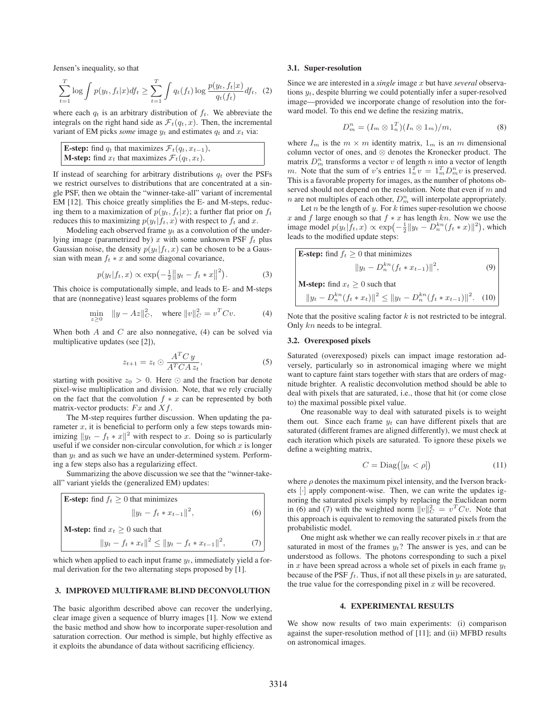Jensen's inequality, so that

$$
\sum_{t=1}^{T} \log \int p(y_t, f_t|x) df_t \ge \sum_{t=1}^{T} \int q_t(f_t) \log \frac{p(y_t, f_t|x)}{q_t(f_t)} df_t, (2)
$$

where each  $q_t$  is an arbitrary distribution of  $f_t$ . We abbreviate the integrals on the right hand side as  $\mathcal{F}_t(q_t, x)$ . Then, the incremental variant of EM picks *some* image  $y_t$  and estimates  $q_t$  and  $x_t$  via:

| <b>E-step:</b> find $q_t$ that maximizes $\mathcal{F}_t(q_t, x_{t-1})$ , |
|--------------------------------------------------------------------------|
| <b>M-step:</b> find $x_t$ that maximizes $\mathcal{F}_t(q_t, x_t)$ .     |
|                                                                          |

If instead of searching for arbitrary distributions  $q_t$  over the PSFs we restrict ourselves to distributions that are concentrated at a single PSF, then we obtain the "winner-take-all" variant of incremental EM [12]. This choice greatly simplifies the E- and M-steps, reducing them to a maximization of  $p(y_t, f_t|x)$ ; a further flat prior on  $f_t$ reduces this to maximizing  $p(y_t|f_t, x)$  with respect to  $f_t$  and x.

Modeling each observed frame  $y_t$  as a convolution of the underlying image (parametrized by) x with some unknown PSF  $f_t$  plus Gaussian noise, the density  $p(y_t|f_t, x)$  can be chosen to be a Gaussian with mean  $f_t * x$  and some diagonal covariance,

$$
p(y_t|f_t, x) \propto \exp(-\frac{1}{2}||y_t - f_t * x||^2).
$$
 (3)

This choice is computationally simple, and leads to E- and M-steps that are (nonnegative) least squares problems of the form

$$
\min_{z \ge 0} \|y - Az\|_{C}^2, \quad \text{where } \|v\|_{C}^2 = v^T C v. \tag{4}
$$

When both  $A$  and  $C$  are also nonnegative, (4) can be solved via multiplicative updates (see [2]),

$$
z_{t+1} = z_t \odot \frac{A^T C y}{A^T C A z_t},
$$
\n(5)

starting with positive  $z_0 > 0$ . Here  $\odot$  and the fraction bar denote pixel-wise multiplication and division. Note, that we rely crucially on the fact that the convolution  $f * x$  can be represented by both matrix-vector products:  $Fx$  and  $Xf$ .

The M-step requires further discussion. When updating the parameter  $x$ , it is beneficial to perform only a few steps towards minimizing  $||y_t - f_t * x||^2$  with respect to x. Doing so is particularly useful if we consider non-circular convolution, for which  $x$  is longer than  $y_t$  and as such we have an under-determined system. Performing a few steps also has a regularizing effect.

Summarizing the above discussion we see that the "winner-takeall" variant yields the (generalized EM) updates:

**E-step:** find 
$$
f_t \geq 0
$$
 that minimizes  $||y_t - f_t * x_{t-1}||^2,$  (6)

\n**M-step:** find  $x_t \geq 0$  such that  $||y_t - f_t * x_t||^2 \leq ||y_t - f_t * x_{t-1}||^2,$  (7)

which when applied to each input frame  $y_t$ , immediately yield a formal derivation for the two alternating steps proposed by [1].

## 3. IMPROVED MULTIFRAME BLIND DECONVOLUTION

The basic algorithm described above can recover the underlying, clear image given a sequence of blurry images [1]. Now we extend the basic method and show how to incorporate super-resolution and saturation correction. Our method is simple, but highly effective as it exploits the abundance of data without sacrificing efficiency.

#### 3.1. Super-resolution

Since we are interested in a *single* image x but have *several* observations  $y_t$ , despite blurring we could potentially infer a super-resolved image—provided we incorporate change of resolution into the forward model. To this end we define the resizing matrix,

$$
D_m^n = (I_m \otimes 1_n^T)(I_n \otimes 1_m)/m,
$$
 (8)

where  $I_m$  is the  $m \times m$  identity matrix,  $1_m$  is an m dimensional column vector of ones, and ⊗ denotes the Kronecker product. The matrix  $D_m^n$  transforms a vector v of length n into a vector of length m. Note that the sum of v's entries  $1_n^T v = 1_n^T D_m^n v$  is preserved.<br>This is a favorable property for images as the number of photons ob-This is a favorable property for images, as the number of photons observed should not depend on the resolution. Note that even if  $m$  and *n* are not multiples of each other,  $D_m^n$  will interpolate appropriately.

Let  $n$  be the length of  $y$ . For  $k$  times super-resolution we choose x and f large enough so that  $f * x$  has length kn. Now we use the image model  $p(y_t|\tilde{f}_t, x) \propto \exp\left(-\frac{1}{2}||y_t - D_n^{kn}(f_t * x)||^2\right)$ , which leads to the modified update steps:

**E-step:** find 
$$
f_t \geq 0
$$
 that minimizes  $\|y_t - D_n^{kn}(f_t * x_{t-1})\|^2,$  (9)

\n**M-step:** find  $x_t \geq 0$  such that  $\|y_t - D_n^{kn}(f_t * x_t)\|^2 \leq \|y_t - D_n^{kn}(f_t * x_{t-1})\|^2.$  (10)

Note that the positive scaling factor  $k$  is not restricted to be integral. Only kn needs to be integral.

#### 3.2. Overexposed pixels

Saturated (overexposed) pixels can impact image restoration adversely, particularly so in astronomical imaging where we might want to capture faint stars together with stars that are orders of magnitude brighter. A realistic deconvolution method should be able to deal with pixels that are saturated, i.e., those that hit (or come close to) the maximal possible pixel value.

One reasonable way to deal with saturated pixels is to weight them out. Since each frame  $y_t$  can have different pixels that are saturated (different frames are aligned differently), we must check at each iteration which pixels are saturated. To ignore these pixels we define a weighting matrix,

$$
C = \text{Diag}([y_t < \rho]) \tag{11}
$$

where  $\rho$  denotes the maximum pixel intensity, and the Iverson brackets [·] apply component-wise. Then, we can write the updates ignoring the saturated pixels simply by replacing the Euclidean norm in (6) and (7) with the weighted norm  $||v||_C^2 = v^T C v$ . Note that this approach is equivalent to removing the saturated pixels from the this approach is equivalent to removing the saturated pixels from the probabilistic model.

One might ask whether we can really recover pixels in  $x$  that are saturated in most of the frames  $y_t$ ? The answer is yes, and can be understood as follows. The photons corresponding to such a pixel in x have been spread across a whole set of pixels in each frame  $y_t$ because of the PSF  $f_t$ . Thus, if not all these pixels in  $y_t$  are saturated, the true value for the corresponding pixel in  $x$  will be recovered.

## 4. EXPERIMENTAL RESULTS

We show now results of two main experiments: (i) comparison against the super-resolution method of [11]; and (ii) MFBD results on astronomical images.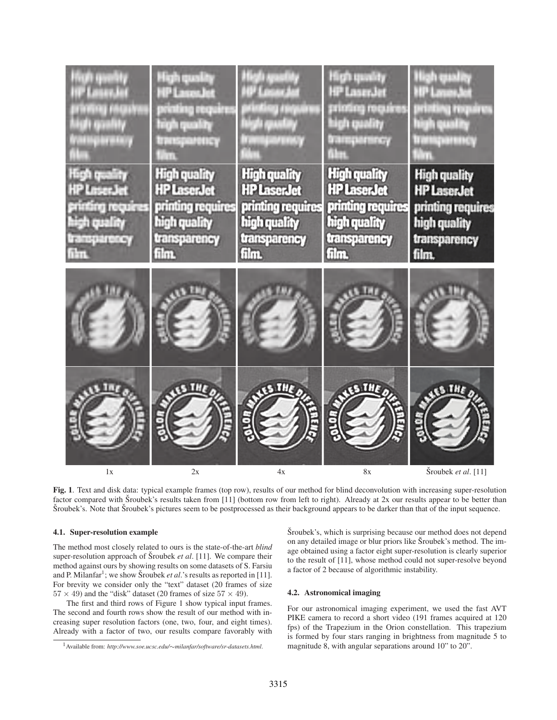| <b>BUSINESS</b><br>nu jaura<br>di guality<br>ratingiaratary | High quality<br>HP Laces for<br>printing require<br>high quality<br>tresparency | 97 D.S<br>79 F<br>ويتوازر المتحلو                              | Mgh qeality<br><b>HP LaserJet</b><br>printing requires<br>high quality<br><b>Damperson</b><br>Nm | لخلوة الجناز<br>SEP Louis<br>arinting roquires<br>tigh quality<br>паранноў |
|-------------------------------------------------------------|---------------------------------------------------------------------------------|----------------------------------------------------------------|--------------------------------------------------------------------------------------------------|----------------------------------------------------------------------------|
| High quality.<br>HP Losen Jet<br>printing requires          | <b>High quality</b><br><b>HP LaserJet</b><br>printing requires                  | <b>High quality</b><br><b>HP LaserJet</b><br>printing requires | <b>High quality</b><br><b>HP LaserJet</b><br>printing requires                                   | <b>High quality</b><br><b>HP LaserJet</b><br>printing requires             |
| yilay deli<br>transparency<br>film.                         | high quality<br>transparency<br>film                                            | high quality<br>transparency<br>film.                          | high quality<br>transparency<br>film.                                                            | high quality<br>transparency<br>film.                                      |
|                                                             |                                                                                 |                                                                |                                                                                                  |                                                                            |
| 1x                                                          | 2x                                                                              | 4x                                                             | 8x                                                                                               | Šroubek et al. [11]                                                        |

Fig. 1. Text and disk data: typical example frames (top row), results of our method for blind deconvolution with increasing super-resolution factor compared with Sroubek's results taken from [11] (bottom row from left to right). Already at 2x our results appear to be better than Šroubek's. Note that Šroubek's pictures seem to be postprocessed as their background appears to be darker than that of the input sequence.

## 4.1. Super-resolution example

The method most closely related to ours is the state-of-the-art *blind* super-resolution approach of Šroubek *et al.* [11]. We compare their method against ours by showing results on some datasets of S. Farsiu and P. Milanfar<sup>1</sup>; we show Šroubek et al.'s results as reported in [11]. For brevity we consider only the "text" dataset (20 frames of size  $57 \times 49$ ) and the "disk" dataset (20 frames of size  $57 \times 49$ ).

The first and third rows of Figure 1 show typical input frames. The second and fourth rows show the result of our method with increasing super resolution factors (one, two, four, and eight times). Already with a factor of two, our results compare favorably with Sroubek's, which is surprising because our method does not depend on any detailed image or blur priors like Sroubek's method. The image obtained using a factor eight super-resolution is clearly superior to the result of [11], whose method could not super-resolve beyond a factor of 2 because of algorithmic instability.

## 4.2. Astronomical imaging

For our astronomical imaging experiment, we used the fast AVT PIKE camera to record a short video (191 frames acquired at 120 fps) of the Trapezium in the Orion constellation. This trapezium is formed by four stars ranging in brightness from magnitude 5 to magnitude 8, with angular separations around 10" to 20".

<sup>1</sup>Available from: *http://www.soe.ucsc.edu/*∼*milanfar/software/sr-datasets.html*.